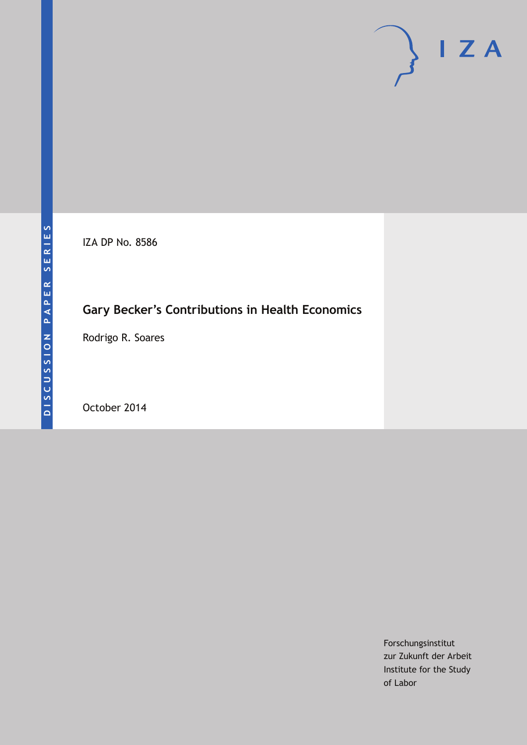IZA DP No. 8586

## **Gary Becker's Contributions in Health Economics**

Rodrigo R. Soares

October 2014

Forschungsinstitut zur Zukunft der Arbeit Institute for the Study of Labor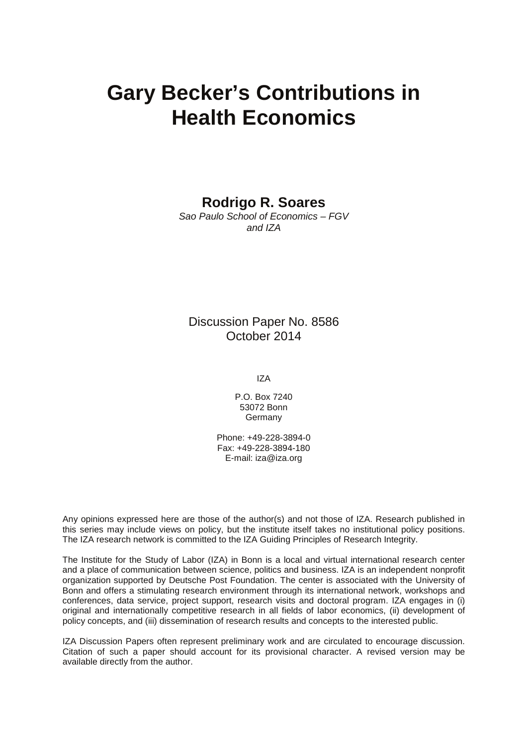# **Gary Becker's Contributions in Health Economics**

**Rodrigo R. Soares**

*Sao Paulo School of Economics – FGV and IZA*

### Discussion Paper No. 8586 October 2014

IZA

P.O. Box 7240 53072 Bonn **Germany** 

Phone: +49-228-3894-0 Fax: +49-228-3894-180 E-mail: [iza@iza.org](mailto:iza@iza.org)

Any opinions expressed here are those of the author(s) and not those of IZA. Research published in this series may include views on policy, but the institute itself takes no institutional policy positions. The IZA research network is committed to the IZA Guiding Principles of Research Integrity.

The Institute for the Study of Labor (IZA) in Bonn is a local and virtual international research center and a place of communication between science, politics and business. IZA is an independent nonprofit organization supported by Deutsche Post Foundation. The center is associated with the University of Bonn and offers a stimulating research environment through its international network, workshops and conferences, data service, project support, research visits and doctoral program. IZA engages in (i) original and internationally competitive research in all fields of labor economics, (ii) development of policy concepts, and (iii) dissemination of research results and concepts to the interested public.

IZA Discussion Papers often represent preliminary work and are circulated to encourage discussion. Citation of such a paper should account for its provisional character. A revised version may be available directly from the author.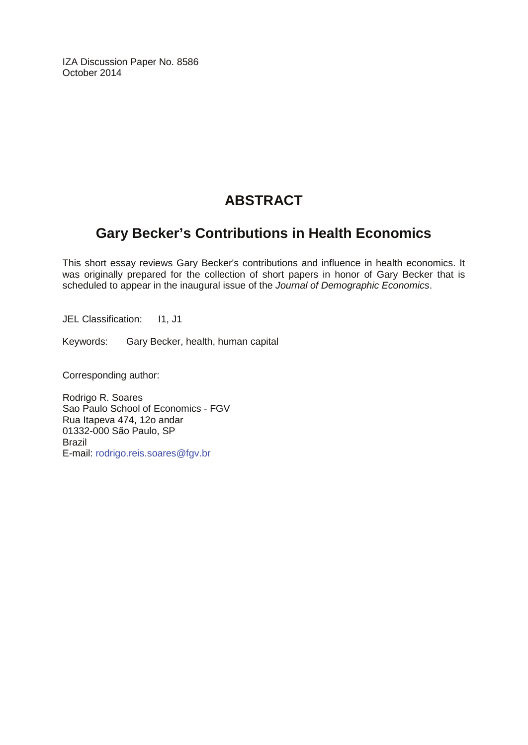IZA Discussion Paper No. 8586 October 2014

## **ABSTRACT**

## **Gary Becker's Contributions in Health Economics**

This short essay reviews Gary Becker's contributions and influence in health economics. It was originally prepared for the collection of short papers in honor of Gary Becker that is scheduled to appear in the inaugural issue of the *Journal of Demographic Economics*.

JEL Classification: I1, J1

Keywords: Gary Becker, health, human capital

Corresponding author:

Rodrigo R. Soares Sao Paulo School of Economics - FGV Rua Itapeva 474, 12o andar 01332-000 São Paulo, SP Brazil E-mail: [rodrigo.reis.soares@fgv.br](mailto:rodrigo.reis.soares@fgv.br)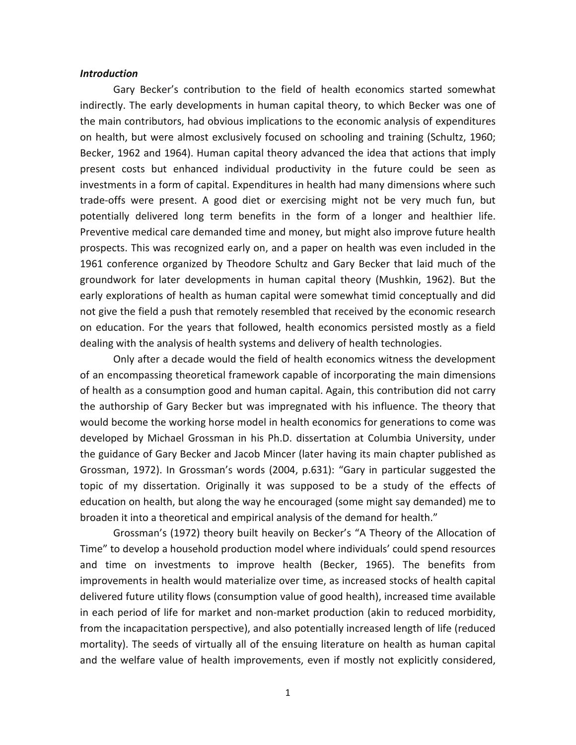#### *Introduction*

Gary Becker's contribution to the field of health economics started somewhat indirectly. The early developments in human capital theory, to which Becker was one of the main contributors, had obvious implications to the economic analysis of expenditures on health, but were almost exclusively focused on schooling and training (Schultz, 1960; Becker, 1962 and 1964). Human capital theory advanced the idea that actions that imply present costs but enhanced individual productivity in the future could be seen as investments in a form of capital. Expenditures in health had many dimensions where such trade-offs were present. A good diet or exercising might not be very much fun, but potentially delivered long term benefits in the form of a longer and healthier life. Preventive medical care demanded time and money, but might also improve future health prospects. This was recognized early on, and a paper on health was even included in the 1961 conference organized by Theodore Schultz and Gary Becker that laid much of the groundwork for later developments in human capital theory (Mushkin, 1962). But the early explorations of health as human capital were somewhat timid conceptually and did not give the field a push that remotely resembled that received by the economic research on education. For the years that followed, health economics persisted mostly as a field dealing with the analysis of health systems and delivery of health technologies.

Only after a decade would the field of health economics witness the development of an encompassing theoretical framework capable of incorporating the main dimensions of health as a consumption good and human capital. Again, this contribution did not carry the authorship of Gary Becker but was impregnated with his influence. The theory that would become the working horse model in health economics for generations to come was developed by Michael Grossman in his Ph.D. dissertation at Columbia University, under the guidance of Gary Becker and Jacob Mincer (later having its main chapter published as Grossman, 1972). In Grossman's words (2004, p.631): "Gary in particular suggested the topic of my dissertation. Originally it was supposed to be a study of the effects of education on health, but along the way he encouraged (some might say demanded) me to broaden it into a theoretical and empirical analysis of the demand for health."

Grossman's (1972) theory built heavily on Becker's "A Theory of the Allocation of Time" to develop a household production model where individuals' could spend resources and time on investments to improve health (Becker, 1965). The benefits from improvements in health would materialize over time, as increased stocks of health capital delivered future utility flows (consumption value of good health), increased time available in each period of life for market and non-market production (akin to reduced morbidity, from the incapacitation perspective), and also potentially increased length of life (reduced mortality). The seeds of virtually all of the ensuing literature on health as human capital and the welfare value of health improvements, even if mostly not explicitly considered,

1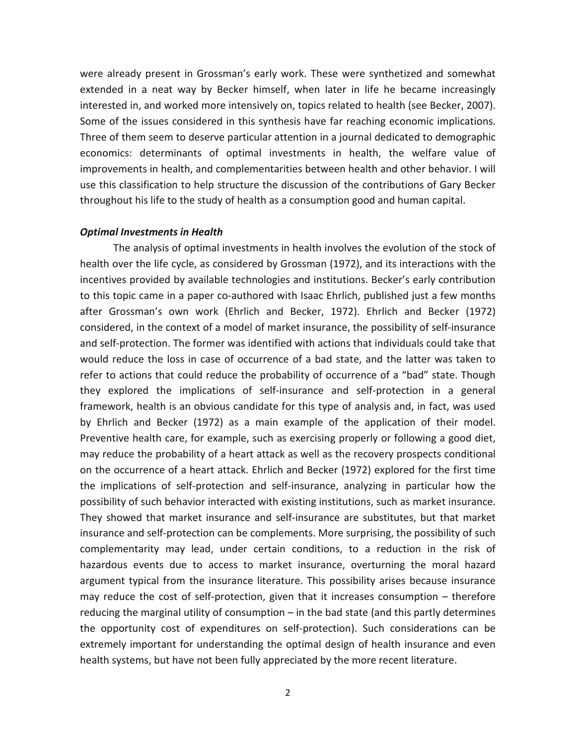were already present in Grossman's early work. These were synthetized and somewhat extended in a neat way by Becker himself, when later in life he became increasingly interested in, and worked more intensively on, topics related to health (see Becker, 2007). Some of the issues considered in this synthesis have far reaching economic implications. Three of them seem to deserve particular attention in a journal dedicated to demographic economics: determinants of optimal investments in health, the welfare value of improvements in health, and complementarities between health and other behavior. I will use this classification to help structure the discussion of the contributions of Gary Becker throughout his life to the study of health as a consumption good and human capital.

#### *Optimal Investments in Health*

The analysis of optimal investments in health involves the evolution of the stock of health over the life cycle, as considered by Grossman (1972), and its interactions with the incentives provided by available technologies and institutions. Becker's early contribution to this topic came in a paper co-authored with Isaac Ehrlich, published just a few months after Grossman's own work (Ehrlich and Becker, 1972). Ehrlich and Becker (1972) considered, in the context of a model of market insurance, the possibility of self-insurance and self-protection. The former was identified with actions that individuals could take that would reduce the loss in case of occurrence of a bad state, and the latter was taken to refer to actions that could reduce the probability of occurrence of a "bad" state. Though they explored the implications of self-insurance and self-protection in a general framework, health is an obvious candidate for this type of analysis and, in fact, was used by Ehrlich and Becker (1972) as a main example of the application of their model. Preventive health care, for example, such as exercising properly or following a good diet, may reduce the probability of a heart attack as well as the recovery prospects conditional on the occurrence of a heart attack. Ehrlich and Becker (1972) explored for the first time the implications of self-protection and self-insurance, analyzing in particular how the possibility of such behavior interacted with existing institutions, such as market insurance. They showed that market insurance and self-insurance are substitutes, but that market insurance and self-protection can be complements. More surprising, the possibility of such complementarity may lead, under certain conditions, to a reduction in the risk of hazardous events due to access to market insurance, overturning the moral hazard argument typical from the insurance literature. This possibility arises because insurance may reduce the cost of self-protection, given that it increases consumption – therefore reducing the marginal utility of consumption – in the bad state (and this partly determines the opportunity cost of expenditures on self-protection). Such considerations can be extremely important for understanding the optimal design of health insurance and even health systems, but have not been fully appreciated by the more recent literature.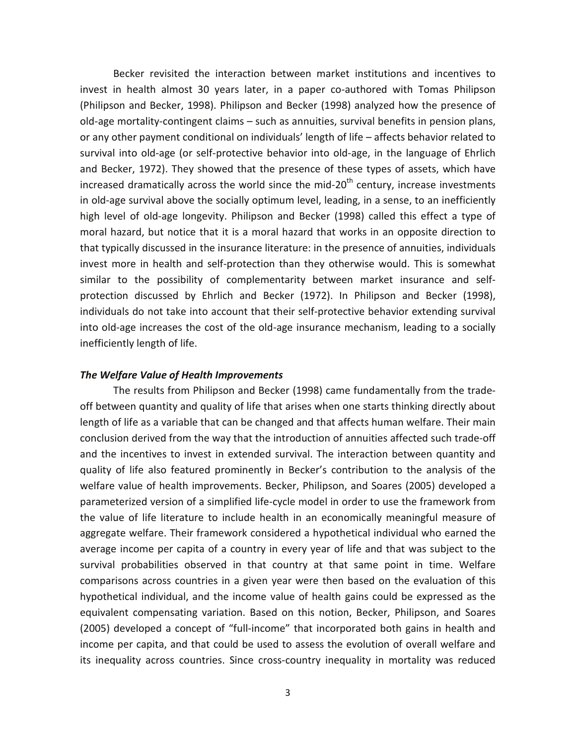Becker revisited the interaction between market institutions and incentives to invest in health almost 30 years later, in a paper co-authored with Tomas Philipson (Philipson and Becker, 1998). Philipson and Becker (1998) analyzed how the presence of old-age mortality-contingent claims – such as annuities, survival benefits in pension plans, or any other payment conditional on individuals' length of life – affects behavior related to survival into old-age (or self-protective behavior into old-age, in the language of Ehrlich and Becker, 1972). They showed that the presence of these types of assets, which have increased dramatically across the world since the mid-20<sup>th</sup> century, increase investments in old-age survival above the socially optimum level, leading, in a sense, to an inefficiently high level of old-age longevity. Philipson and Becker (1998) called this effect a type of moral hazard, but notice that it is a moral hazard that works in an opposite direction to that typically discussed in the insurance literature: in the presence of annuities, individuals invest more in health and self-protection than they otherwise would. This is somewhat similar to the possibility of complementarity between market insurance and selfprotection discussed by Ehrlich and Becker (1972). In Philipson and Becker (1998), individuals do not take into account that their self-protective behavior extending survival into old-age increases the cost of the old-age insurance mechanism, leading to a socially inefficiently length of life.

#### *The Welfare Value of Health Improvements*

The results from Philipson and Becker (1998) came fundamentally from the tradeoff between quantity and quality of life that arises when one starts thinking directly about length of life as a variable that can be changed and that affects human welfare. Their main conclusion derived from the way that the introduction of annuities affected such trade-off and the incentives to invest in extended survival. The interaction between quantity and quality of life also featured prominently in Becker's contribution to the analysis of the welfare value of health improvements. Becker, Philipson, and Soares (2005) developed a parameterized version of a simplified life-cycle model in order to use the framework from the value of life literature to include health in an economically meaningful measure of aggregate welfare. Their framework considered a hypothetical individual who earned the average income per capita of a country in every year of life and that was subject to the survival probabilities observed in that country at that same point in time. Welfare comparisons across countries in a given year were then based on the evaluation of this hypothetical individual, and the income value of health gains could be expressed as the equivalent compensating variation. Based on this notion, Becker, Philipson, and Soares (2005) developed a concept of "full-income" that incorporated both gains in health and income per capita, and that could be used to assess the evolution of overall welfare and its inequality across countries. Since cross-country inequality in mortality was reduced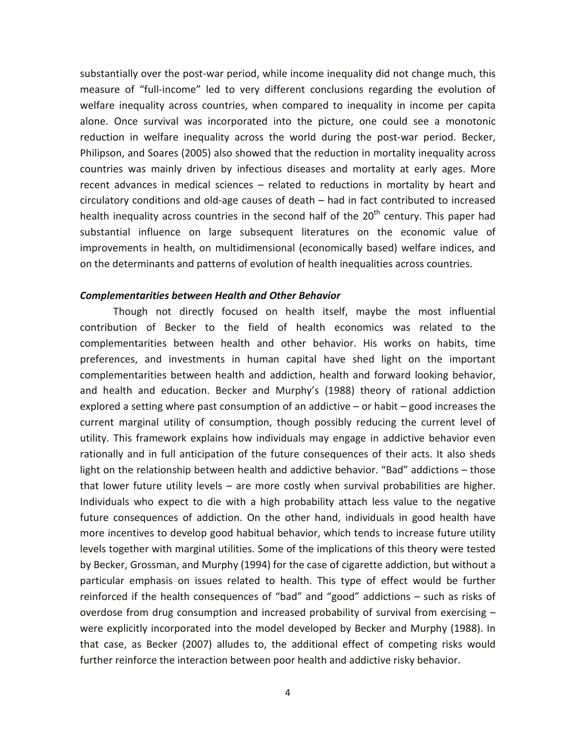substantially over the post-war period, while income inequality did not change much, this measure of "full-income" led to very different conclusions regarding the evolution of welfare inequality across countries, when compared to inequality in income per capita alone. Once survival was incorporated into the picture, one could see a monotonic reduction in welfare inequality across the world during the post-war period. Becker, Philipson, and Soares (2005) also showed that the reduction in mortality inequality across countries was mainly driven by infectious diseases and mortality at early ages. More recent advances in medical sciences – related to reductions in mortality by heart and circulatory conditions and old-age causes of death – had in fact contributed to increased health inequality across countries in the second half of the  $20<sup>th</sup>$  century. This paper had substantial influence on large subsequent literatures on the economic value of improvements in health, on multidimensional (economically based) welfare indices, and on the determinants and patterns of evolution of health inequalities across countries.

#### *Complementarities between Health and Other Behavior*

Though not directly focused on health itself, maybe the most influential contribution of Becker to the field of health economics was related to the complementarities between health and other behavior. His works on habits, time preferences, and investments in human capital have shed light on the important complementarities between health and addiction, health and forward looking behavior, and health and education. Becker and Murphy's (1988) theory of rational addiction explored a setting where past consumption of an addictive – or habit – good increases the current marginal utility of consumption, though possibly reducing the current level of utility. This framework explains how individuals may engage in addictive behavior even rationally and in full anticipation of the future consequences of their acts. It also sheds light on the relationship between health and addictive behavior. "Bad" addictions – those that lower future utility levels – are more costly when survival probabilities are higher. Individuals who expect to die with a high probability attach less value to the negative future consequences of addiction. On the other hand, individuals in good health have more incentives to develop good habitual behavior, which tends to increase future utility levels together with marginal utilities. Some of the implications of this theory were tested by Becker, Grossman, and Murphy (1994) for the case of cigarette addiction, but without a particular emphasis on issues related to health. This type of effect would be further reinforced if the health consequences of "bad" and "good" addictions – such as risks of overdose from drug consumption and increased probability of survival from exercising – were explicitly incorporated into the model developed by Becker and Murphy (1988). In that case, as Becker (2007) alludes to, the additional effect of competing risks would further reinforce the interaction between poor health and addictive risky behavior.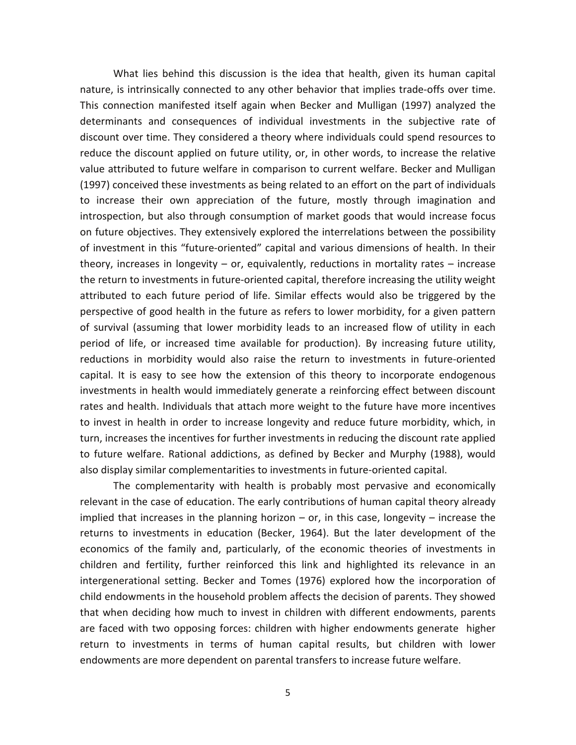What lies behind this discussion is the idea that health, given its human capital nature, is intrinsically connected to any other behavior that implies trade-offs over time. This connection manifested itself again when Becker and Mulligan (1997) analyzed the determinants and consequences of individual investments in the subjective rate of discount over time. They considered a theory where individuals could spend resources to reduce the discount applied on future utility, or, in other words, to increase the relative value attributed to future welfare in comparison to current welfare. Becker and Mulligan (1997) conceived these investments as being related to an effort on the part of individuals to increase their own appreciation of the future, mostly through imagination and introspection, but also through consumption of market goods that would increase focus on future objectives. They extensively explored the interrelations between the possibility of investment in this "future-oriented" capital and various dimensions of health. In their theory, increases in longevity – or, equivalently, reductions in mortality rates – increase the return to investments in future-oriented capital, therefore increasing the utility weight attributed to each future period of life. Similar effects would also be triggered by the perspective of good health in the future as refers to lower morbidity, for a given pattern of survival (assuming that lower morbidity leads to an increased flow of utility in each period of life, or increased time available for production). By increasing future utility, reductions in morbidity would also raise the return to investments in future-oriented capital. It is easy to see how the extension of this theory to incorporate endogenous investments in health would immediately generate a reinforcing effect between discount rates and health. Individuals that attach more weight to the future have more incentives to invest in health in order to increase longevity and reduce future morbidity, which, in turn, increases the incentives for further investments in reducing the discount rate applied to future welfare. Rational addictions, as defined by Becker and Murphy (1988), would also display similar complementarities to investments in future-oriented capital.

The complementarity with health is probably most pervasive and economically relevant in the case of education. The early contributions of human capital theory already implied that increases in the planning horizon  $-$  or, in this case, longevity  $-$  increase the returns to investments in education (Becker, 1964). But the later development of the economics of the family and, particularly, of the economic theories of investments in children and fertility, further reinforced this link and highlighted its relevance in an intergenerational setting. Becker and Tomes (1976) explored how the incorporation of child endowments in the household problem affects the decision of parents. They showed that when deciding how much to invest in children with different endowments, parents are faced with two opposing forces: children with higher endowments generate higher return to investments in terms of human capital results, but children with lower endowments are more dependent on parental transfers to increase future welfare.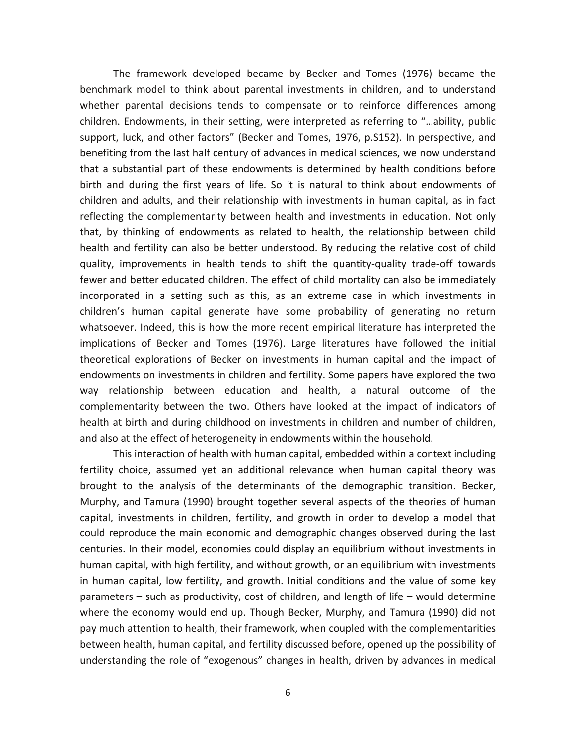The framework developed became by Becker and Tomes (1976) became the benchmark model to think about parental investments in children, and to understand whether parental decisions tends to compensate or to reinforce differences among children. Endowments, in their setting, were interpreted as referring to "…ability, public support, luck, and other factors" (Becker and Tomes, 1976, p.S152). In perspective, and benefiting from the last half century of advances in medical sciences, we now understand that a substantial part of these endowments is determined by health conditions before birth and during the first years of life. So it is natural to think about endowments of children and adults, and their relationship with investments in human capital, as in fact reflecting the complementarity between health and investments in education. Not only that, by thinking of endowments as related to health, the relationship between child health and fertility can also be better understood. By reducing the relative cost of child quality, improvements in health tends to shift the quantity-quality trade-off towards fewer and better educated children. The effect of child mortality can also be immediately incorporated in a setting such as this, as an extreme case in which investments in children's human capital generate have some probability of generating no return whatsoever. Indeed, this is how the more recent empirical literature has interpreted the implications of Becker and Tomes (1976). Large literatures have followed the initial theoretical explorations of Becker on investments in human capital and the impact of endowments on investments in children and fertility. Some papers have explored the two way relationship between education and health, a natural outcome of the complementarity between the two. Others have looked at the impact of indicators of health at birth and during childhood on investments in children and number of children, and also at the effect of heterogeneity in endowments within the household.

This interaction of health with human capital, embedded within a context including fertility choice, assumed yet an additional relevance when human capital theory was brought to the analysis of the determinants of the demographic transition. Becker, Murphy, and Tamura (1990) brought together several aspects of the theories of human capital, investments in children, fertility, and growth in order to develop a model that could reproduce the main economic and demographic changes observed during the last centuries. In their model, economies could display an equilibrium without investments in human capital, with high fertility, and without growth, or an equilibrium with investments in human capital, low fertility, and growth. Initial conditions and the value of some key parameters – such as productivity, cost of children, and length of life – would determine where the economy would end up. Though Becker, Murphy, and Tamura (1990) did not pay much attention to health, their framework, when coupled with the complementarities between health, human capital, and fertility discussed before, opened up the possibility of understanding the role of "exogenous" changes in health, driven by advances in medical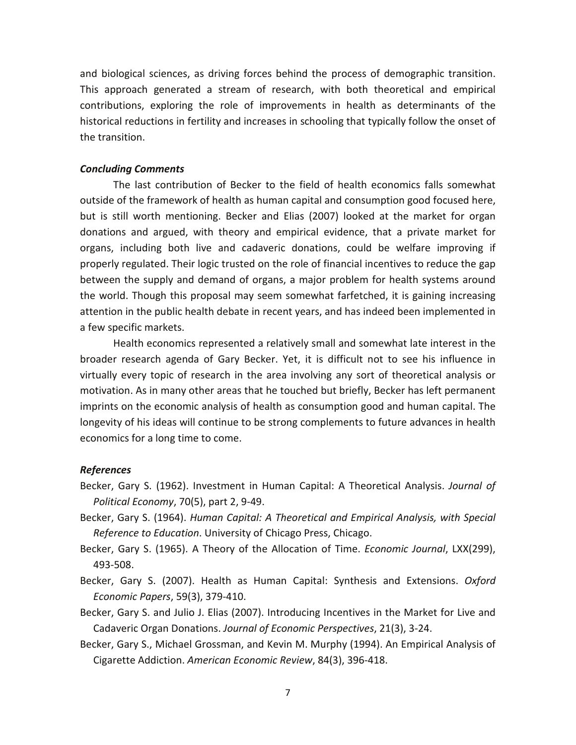and biological sciences, as driving forces behind the process of demographic transition. This approach generated a stream of research, with both theoretical and empirical contributions, exploring the role of improvements in health as determinants of the historical reductions in fertility and increases in schooling that typically follow the onset of the transition.

#### *Concluding Comments*

The last contribution of Becker to the field of health economics falls somewhat outside of the framework of health as human capital and consumption good focused here, but is still worth mentioning. Becker and Elias (2007) looked at the market for organ donations and argued, with theory and empirical evidence, that a private market for organs, including both live and cadaveric donations, could be welfare improving if properly regulated. Their logic trusted on the role of financial incentives to reduce the gap between the supply and demand of organs, a major problem for health systems around the world. Though this proposal may seem somewhat farfetched, it is gaining increasing attention in the public health debate in recent years, and has indeed been implemented in a few specific markets.

Health economics represented a relatively small and somewhat late interest in the broader research agenda of Gary Becker. Yet, it is difficult not to see his influence in virtually every topic of research in the area involving any sort of theoretical analysis or motivation. As in many other areas that he touched but briefly, Becker has left permanent imprints on the economic analysis of health as consumption good and human capital. The longevity of his ideas will continue to be strong complements to future advances in health economics for a long time to come.

#### *References*

- Becker, Gary S. (1962). Investment in Human Capital: A Theoretical Analysis. *Journal of Political Economy*, 70(5), part 2, 9-49.
- Becker, Gary S. (1964). *Human Capital: A Theoretical and Empirical Analysis, with Special Reference to Education*. University of Chicago Press, Chicago.
- Becker, Gary S. (1965). A Theory of the Allocation of Time. *Economic Journal*, LXX(299), 493-508.
- Becker, Gary S. (2007). Health as Human Capital: Synthesis and Extensions. *Oxford Economic Papers*, 59(3), 379-410.
- Becker, Gary S. and Julio J. Elias (2007). Introducing Incentives in the Market for Live and Cadaveric Organ Donations. *Journal of Economic Perspectives*, 21(3), 3-24.
- Becker, Gary S., Michael Grossman, and Kevin M. Murphy (1994). An Empirical Analysis of Cigarette Addiction. *American Economic Review*, 84(3), 396-418.